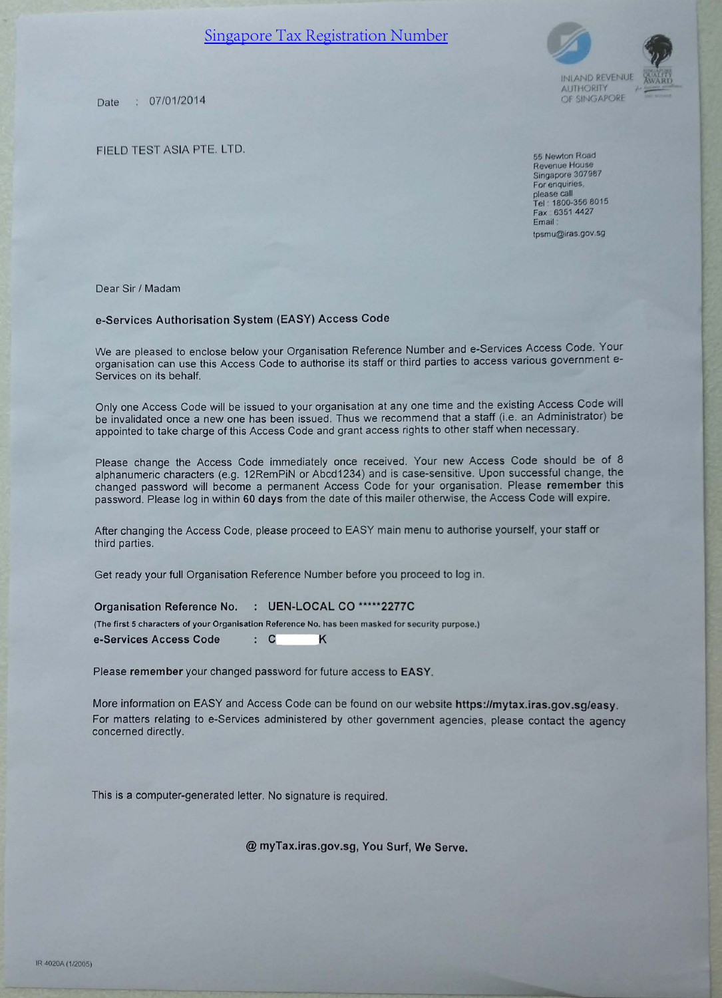# **Singapore Tax Registration Number**

07/01/2014 Date

FIELD TEST ASIA PTE. LTD.





**INLAND REVENU AUTHORITY** OF SINGAPORE

55 Newton Road Revenue House Singapore 307987 For enquiries, please call Tel: 1800-356 8015 Fax: 6351 4427 Email: tpsmu@iras.gov.sg

Dear Sir / Madam

# e-Services Authorisation System (EASY) Access Code

We are pleased to enclose below your Organisation Reference Number and e-Services Access Code. Your organisation can use this Access Code to authorise its staff or third parties to access various government e-Services on its behalf.

Only one Access Code will be issued to your organisation at any one time and the existing Access Code will be invalidated once a new one has been issued. Thus we recommend that a staff (i.e. an Administrator) be appointed to take charge of this Access Code and grant access rights to other staff when necessary.

Please change the Access Code immediately once received. Your new Access Code should be of 8 alphanumeric characters (e.g. 12RemPiN or Abcd1234) and is case-sensitive. Upon successful change, the changed password will become a permanent Access Code for your organisation. Please remember this password. Please log in within 60 days from the date of this mailer otherwise, the Access Code will expire.

After changing the Access Code, please proceed to EASY main menu to authorise yourself, your staff or third parties.

Get ready your full Organisation Reference Number before you proceed to log in.

: UEN-LOCAL CO \*\*\*\*\*2277C **Organisation Reference No.** 

(The first 5 characters of your Organisation Reference No. has been masked for security purpose.)

e-Services Access Code  $\therefore$  C Κ

Please remember your changed password for future access to EASY.

More information on EASY and Access Code can be found on our website https://mytax.iras.gov.sg/easy. For matters relating to e-Services administered by other government agencies, please contact the agency concerned directly.

This is a computer-generated letter. No signature is required.

@ myTax.iras.gov.sg, You Surf, We Serve.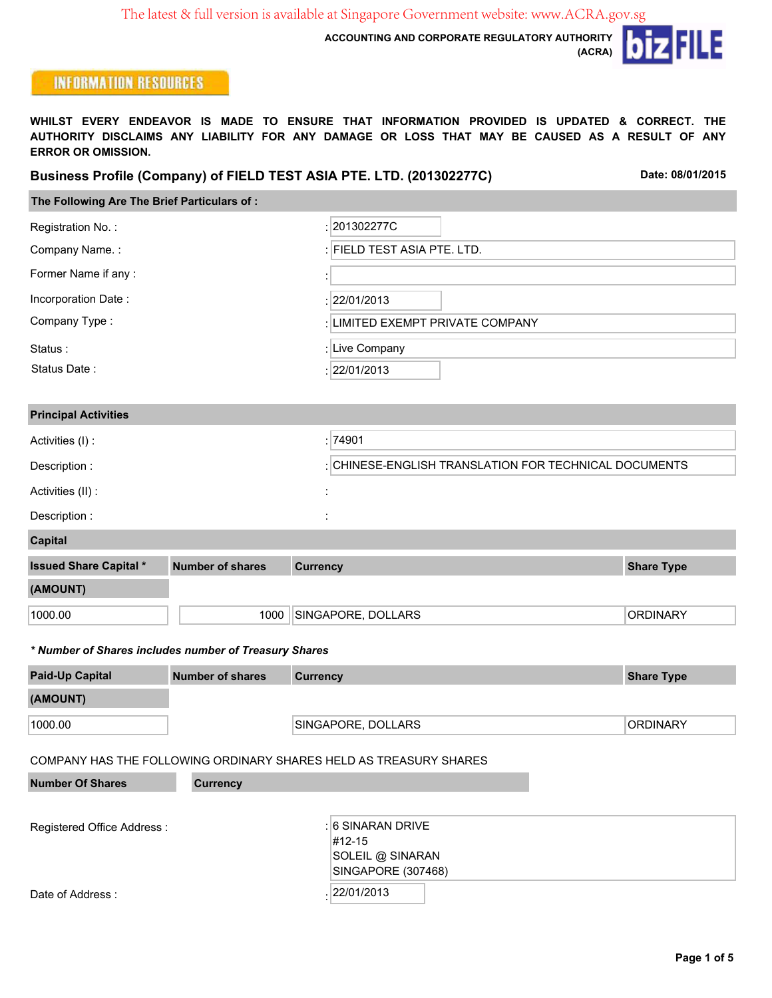**ACCOUNTING AND CORPORATE REGULATORY AUTHORITY**

iz FILE  $\bullet$ **(ACRA)**

# **INFORMATION RESOURCES**

**WHILST EVERY ENDEAVOR IS MADE TO ENSURE THAT INFORMATION PROVIDED IS UPDATED & CORRECT. THE AUTHORITY DISCLAIMS ANY LIABILITY FOR ANY DAMAGE OR LOSS THAT MAY BE CAUSED AS A RESULT OF ANY ERROR OR OMISSION.**

#### **Business Profile (Company) of FIELD TEST ASIA PTE. LTD. (201302277C)**

**Date: 08/01/2015**

|  |  | The Following Are The Brief Particulars of : |  |
|--|--|----------------------------------------------|--|

| Registration No.:           | : 201302277C                                        |
|-----------------------------|-----------------------------------------------------|
| Company Name.:              | : FIELD TEST ASIA PTE. LTD.                         |
| Former Name if any:         |                                                     |
| Incorporation Date:         | :  22/01/2013                                       |
| Company Type:               | : LIMITED EXEMPT PRIVATE COMPANY                    |
| Status:                     | Live Company                                        |
| Status Date:                | :  22/01/2013                                       |
|                             |                                                     |
| <b>Principal Activities</b> |                                                     |
| Activities (I) :            | : 74901                                             |
| Description:                | CHINESE-ENGLISH TRANSLATION FOR TECHNICAL DOCUMENTS |
| Activities (II) :           |                                                     |
| Description :               |                                                     |

**Capital**

| <b>Issued Share Capital *</b> | Number of shares | <b>Currency</b>    | <b>Share Type</b> |
|-------------------------------|------------------|--------------------|-------------------|
| (AMOUNT)                      |                  |                    |                   |
| 1000.00                       | 1000             | SINGAPORE, DOLLARS | <b>ORDINARY</b>   |

#### *\* Number of Shares includes number of Treasury Shares*

| <b>Paid-Up Capital</b> | <b>Number of shares</b> | <b>Currency</b>    | <b>Share Type</b> |
|------------------------|-------------------------|--------------------|-------------------|
| (AMOUNT)               |                         |                    |                   |
| 1000.00                |                         | SINGAPORE, DOLLARS | <b>ORDINARY</b>   |

#### COMPANY HAS THE FOLLOWING ORDINARY SHARES HELD AS TREASURY SHARES

| <b>Number Of Shares</b>     | <b>Currency</b>    |
|-----------------------------|--------------------|
|                             |                    |
| Registered Office Address : | : 6 SINARAN DRIVE  |
|                             | $\#12 - 15$        |
|                             | SOLEIL @ SINARAN   |
|                             | SINGAPORE (307468) |
| Date of Address:            | 22/01/2013         |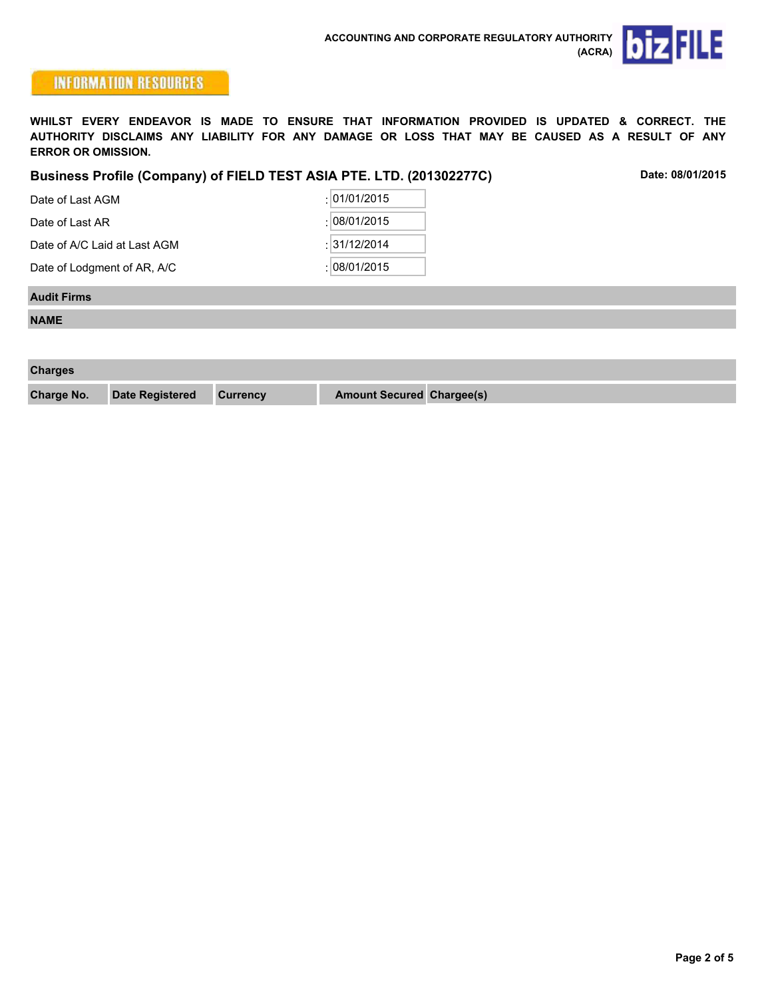



**WHILST EVERY ENDEAVOR IS MADE TO ENSURE THAT INFORMATION PROVIDED IS UPDATED & CORRECT. THE AUTHORITY DISCLAIMS ANY LIABILITY FOR ANY DAMAGE OR LOSS THAT MAY BE CAUSED AS A RESULT OF ANY ERROR OR OMISSION.**

#### **Business Profile (Company) of FIELD TEST ASIA PTE. LTD. (201302277C)**

**Date: 08/01/2015**

| Date of Last AGM             | :  01/01/2015   |
|------------------------------|-----------------|
| Date of Last AR              | : 108/01/2015   |
| Date of A/C Laid at Last AGM | :  31/12/2014   |
| Date of Lodgment of AR, A/C  | : $ 08/01/2015$ |

#### **Audit Firms**

**NAME**

| <b>Charges</b>    |                        |                 |                                  |  |
|-------------------|------------------------|-----------------|----------------------------------|--|
| <b>Charge No.</b> | <b>Date Registered</b> | <b>Currency</b> | <b>Amount Secured Chargee(s)</b> |  |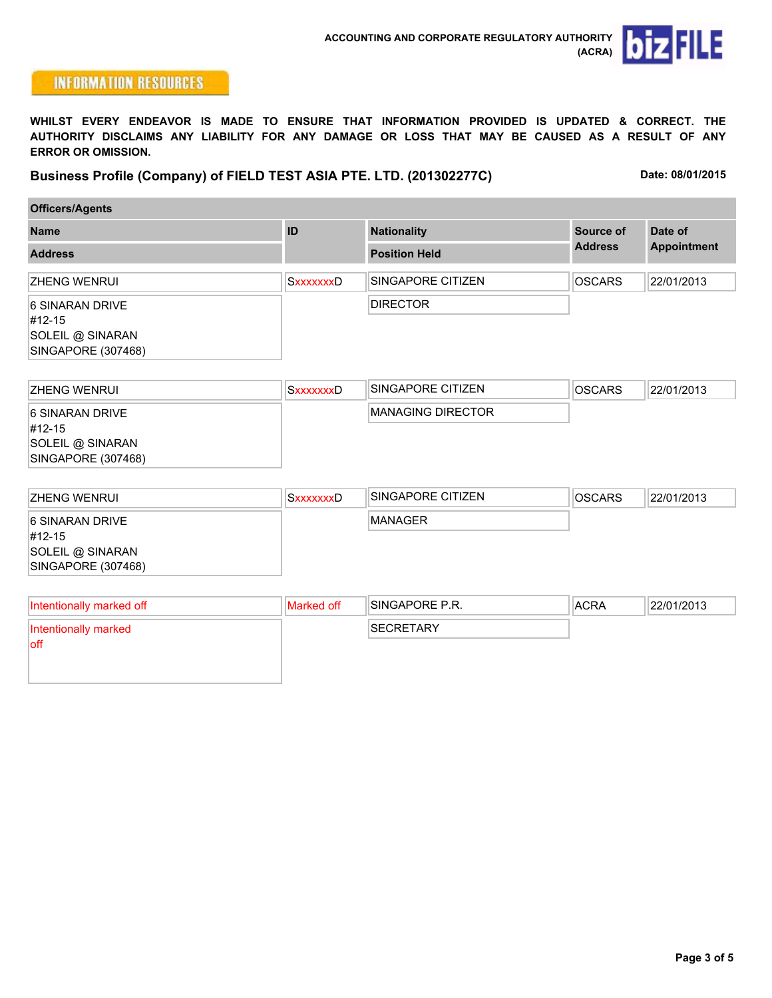

**WHILST EVERY ENDEAVOR IS MADE TO ENSURE THAT INFORMATION PROVIDED IS UPDATED & CORRECT. THE AUTHORITY DISCLAIMS ANY LIABILITY FOR ANY DAMAGE OR LOSS THAT MAY BE CAUSED AS A RESULT OF ANY ERROR OR OMISSION.**

**Business Profile (Company) of FIELD TEST ASIA PTE. LTD. (201302277C)**

**Date: 08/01/2015**

| <b>Name</b>                                                         | ID               | <b>Nationality</b>   | Source of      | Date of            |
|---------------------------------------------------------------------|------------------|----------------------|----------------|--------------------|
| <b>Address</b>                                                      |                  | <b>Position Held</b> | <b>Address</b> | <b>Appointment</b> |
| IZHENG WENRUI                                                       | <b>SXXXXXXXD</b> | SINGAPORE CITIZEN    | <b>OSCARS</b>  | 22/01/2013         |
| 6 SINARAN DRIVE<br>#12-15<br>SOLEIL @ SINARAN<br>SINGAPORE (307468) |                  | <b>DIRECTOR</b>      |                |                    |

| IZHENG WENRUI      | SxxxxxxxD | <b>ISINGAPORE CITIZEN</b> | <b>OSCARS</b> | 22/01/2013 |
|--------------------|-----------|---------------------------|---------------|------------|
| 16 SINARAN DRIVE   |           | IMANAGING DIRECTOR        |               |            |
| #12-15             |           |                           |               |            |
| SOLEIL @ SINARAN   |           |                           |               |            |
| SINGAPORE (307468) |           |                           |               |            |
|                    |           |                           |               |            |

| <b>IZHENG WENRUI</b> | <b>SxxxxxxxD</b> | ISINGAPORE CITIZEN | <b>OSCARS</b> | 22/01/2013 |
|----------------------|------------------|--------------------|---------------|------------|
| 16 SINARAN DRIVE     |                  | <b>MANAGER</b>     |               |            |
| #12-15               |                  |                    |               |            |
| SOLEIL @ SINARAN     |                  |                    |               |            |
| SINGAPORE (307468)   |                  |                    |               |            |

| Intentionally marked off        | Marked off | <b>ISINGAPORE P.R.</b> | <b>ACRA</b> | 22/01/2013 |
|---------------------------------|------------|------------------------|-------------|------------|
| Intentionally marked<br>$ $ off |            | <b>SECRETARY</b>       |             |            |
|                                 |            |                        |             |            |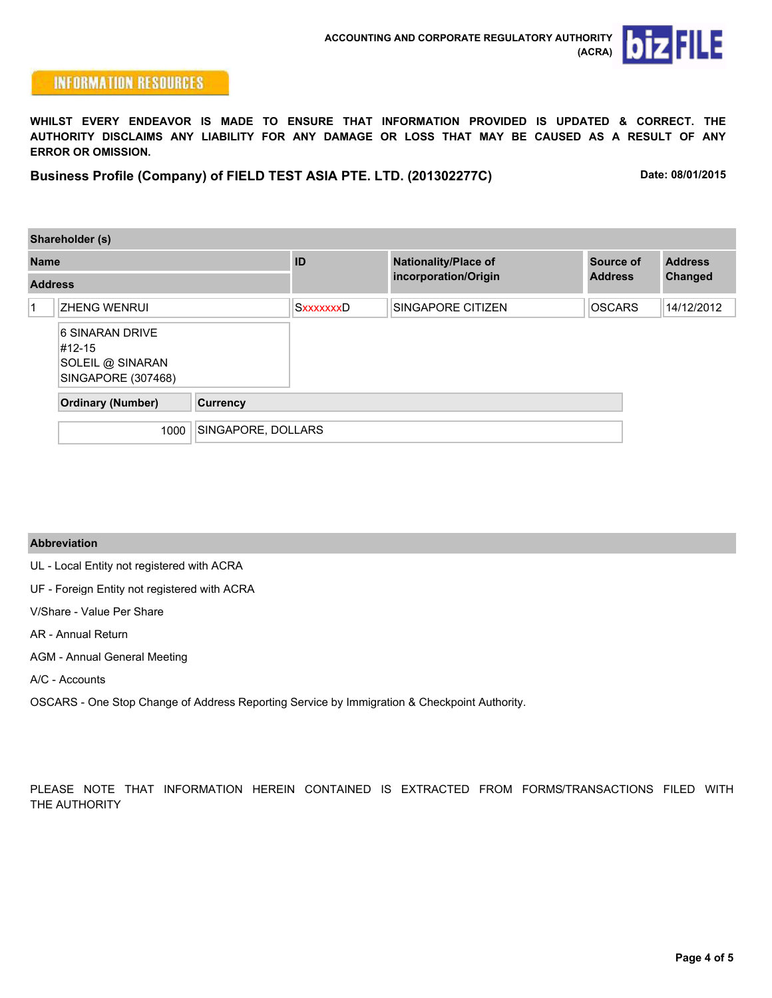

**WHILST EVERY ENDEAVOR IS MADE TO ENSURE THAT INFORMATION PROVIDED IS UPDATED & CORRECT. THE AUTHORITY DISCLAIMS ANY LIABILITY FOR ANY DAMAGE OR LOSS THAT MAY BE CAUSED AS A RESULT OF ANY ERROR OR OMISSION.**

**Business Profile (Company) of FIELD TEST ASIA PTE. LTD. (201302277C)**

**Date: 08/01/2015**

|                | Shareholder (s)                                                     |                    |                  |                             |                |                |  |
|----------------|---------------------------------------------------------------------|--------------------|------------------|-----------------------------|----------------|----------------|--|
|                | <b>Name</b><br><b>Address</b>                                       |                    | ID               | <b>Nationality/Place of</b> | Source of      | <b>Address</b> |  |
|                |                                                                     |                    |                  | incorporation/Origin        | <b>Address</b> | Changed        |  |
| $\overline{1}$ | <b>ZHENG WENRUI</b>                                                 |                    | <b>SxxxxxxxD</b> | <b>SINGAPORE CITIZEN</b>    | <b>OSCARS</b>  | 14/12/2012     |  |
|                | 6 SINARAN DRIVE<br>#12-15<br>SOLEIL @ SINARAN<br>SINGAPORE (307468) |                    |                  |                             |                |                |  |
|                | <b>Ordinary (Number)</b>                                            | <b>Currency</b>    |                  |                             |                |                |  |
|                | 1000                                                                | SINGAPORE, DOLLARS |                  |                             |                |                |  |

#### **Abbreviation**

UL - Local Entity not registered with ACRA

UF - Foreign Entity not registered with ACRA

V/Share - Value Per Share

AR - Annual Return

AGM - Annual General Meeting

A/C - Accounts

OSCARS - One Stop Change of Address Reporting Service by Immigration & Checkpoint Authority.

PLEASE NOTE THAT INFORMATION HEREIN CONTAINED IS EXTRACTED FROM FORMS/TRANSACTIONS FILED WITH THE AUTHORITY